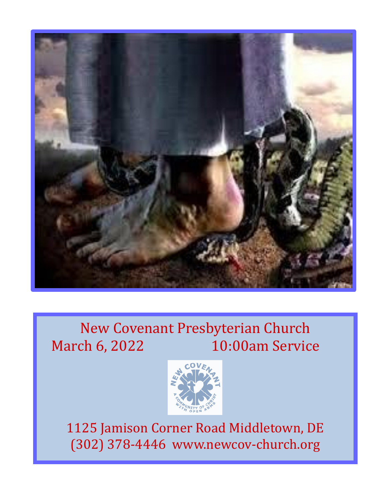

# New Covenant Presbyterian Church March 6, 2022 10:00am Service



1125 Jamison Corner Road Middletown, DE (302) 378-4446 www.newcov-church.org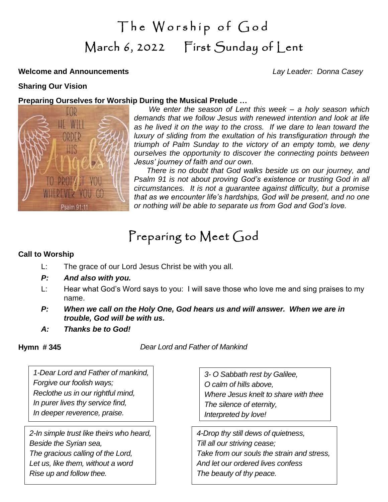# The Worship of God March 6, 2022 First Sunday of Lent

### **Welcome and Announcements** *Lay Leader: Donna Casey*

### **Sharing Our Vision**

### **Preparing Ourselves for Worship During the Musical Prelude …**



*We enter the season of Lent this week – a holy season which demands that we follow Jesus with renewed intention and look at life as he lived it on the way to the cross. If we dare to lean toward the luxury of sliding from the exultation of his transfiguration through the triumph of Palm Sunday to the victory of an empty tomb, we deny ourselves the opportunity to discover the connecting points between Jesus' journey of faith and our own.*

 *There is no doubt that God walks beside us on our journey, and Psalm 91 is not about proving God's existence or trusting God in all circumstances. It is not a guarantee against difficulty, but a promise that as we encounter life's hardships, God will be present, and no one or nothing will be able to separate us from God and God's love.*

## Preparing to Meet God

### **Call to Worship**

- L: The grace of our Lord Jesus Christ be with you all.
- *P: And also with you.*
- L: Hear what God's Word says to you: I will save those who love me and sing praises to my name.
- *P: When we call on the Holy One, God hears us and will answer. When we are in trouble, God will be with us.*
- *A: Thanks be to God!*

**Hymn # 345** *Dear Lord and Father of Mankind*

*1-Dear Lord and Father of mankind, Forgive our foolish ways; Reclothe us in our rightful mind, In purer lives thy service find, In deeper reverence, praise.*

*2-In simple trust like theirs who heard, Beside the Syrian sea, The gracious calling of the Lord, Let us, like them, without a word Rise up and follow thee.*

*3- O Sabbath rest by Galilee, O calm of hills above, Where Jesus knelt to share with thee The silence of eternity, Interpreted by love!*

*4-Drop thy still dews of quietness, Till all our striving cease; Take from our souls the strain and stress, And let our ordered lives confess The beauty of thy peace.*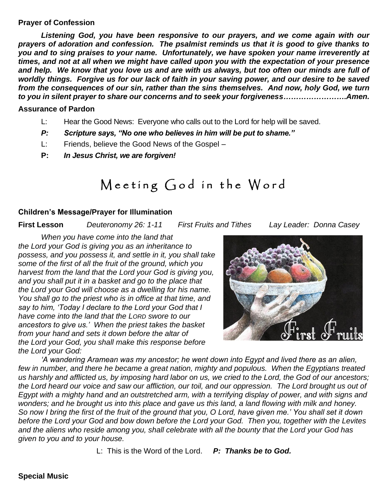### **Prayer of Confession**

*Listening God, you have been responsive to our prayers, and we come again with our prayers of adoration and confession. The psalmist reminds us that it is good to give thanks to you and to sing praises to your name. Unfortunately, we have spoken your name irreverently at times, and not at all when we might have called upon you with the expectation of your presence and help. We know that you love us and are with us always, but too often our minds are full of worldly things. Forgive us for our lack of faith in your saving power, and our desire to be saved from the consequences of our sin, rather than the sins themselves. And now, holy God, we turn to you in silent prayer to share our concerns and to seek your forgiveness…………………….Amen.*

### **Assurance of Pardon**

- L: Hear the Good News: Everyone who calls out to the Lord for help will be saved.
- *P: Scripture says, "No one who believes in him will be put to shame."*
- L: Friends, believe the Good News of the Gospel –
- **P:** *In Jesus Christ, we are forgiven!*

## Meeting God in the Word

### **Children's Message/Prayer for Illumination**

**First Lesson** *Deuteronomy 26: 1-11 First Fruits and Tithes Lay Leader: Donna Casey*

*When you have come into the land that the Lord your God is giving you as an inheritance to possess, and you possess it, and settle in it, you shall take some of the first of all the fruit of the ground, which you harvest from the land that the Lord your God is giving you, and you shall put it in a basket and go to the place that the Lord your God will choose as a dwelling for his name. You shall go to the priest who is in office at that time, and say to him, 'Today I declare to the Lord your God that I have come into the land that the LORD swore to our ancestors to give us.' When the priest takes the basket from your hand and sets it down before the altar of the Lord your God, you shall make this response before the Lord your God:*



*'A wandering Aramean was my ancestor; he went down into Egypt and lived there as an alien, few in number, and there he became a great nation, mighty and populous. When the Egyptians treated us harshly and afflicted us, by imposing hard labor on us, we cried to the Lord, the God of our ancestors; the Lord heard our voice and saw our affliction, our toil, and our oppression. The Lord brought us out of Egypt with a mighty hand and an outstretched arm, with a terrifying display of power, and with signs and wonders; and he brought us into this place and gave us this land, a land flowing with milk and honey. So now I bring the first of the fruit of the ground that you, O Lord, have given me.' You shall set it down before the Lord your God and bow down before the Lord your God. Then you, together with the Levites and the aliens who reside among you, shall celebrate with all the bounty that the Lord your God has given to you and to your house.*

L: This is the Word of the Lord. *P: Thanks be to God.*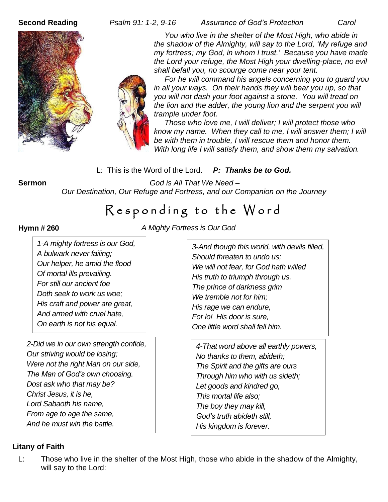

**Second Reading** *Psalm 91: 1-2, 9-16 Assurance of God's Protection Carol*

 *You who live in the shelter of the Most High, who abide in the shadow of the Almighty, will say to the Lord, 'My refuge and my fortress; my God, in whom I trust.' Because you have made the Lord your refuge, the Most High your dwelling-place, no evil shall befall you, no scourge come near your tent.*

 *For he will command his angels concerning you to guard you in all your ways. On their hands they will bear you up, so that you will not dash your foot against a stone. You will tread on the lion and the adder, the young lion and the serpent you will trample under foot.*

 *Those who love me, I will deliver; I will protect those who know my name. When they call to me, I will answer them; I will be with them in trouble, I will rescue them and honor them. With long life I will satisfy them, and show them my salvation.*

L: This is the Word of the Lord. *P: Thanks be to God.*

**Sermon** *God is All That We Need – Our Destination, Our Refuge and Fortress, and our Companion on the Journey*

## Responding to the Word

*1-A mighty fortress is our God, A bulwark never failing; Our helper, he amid the flood Of mortal ills prevailing. For still our ancient foe Doth seek to work us woe; His craft and power are great, And armed with cruel hate, On earth is not his equal.*

*2-Did we in our own strength confide, Our striving would be losing; Were not the right Man on our side, The Man of God's own choosing. Dost ask who that may be? Christ Jesus, it is he, Lord Sabaoth his name, From age to age the same, And he must win the battle.*

**Hymn # 260** *A Mighty Fortress is Our God*

*3-And though this world, with devils filled, Should threaten to undo us; We will not fear, for God hath willed His truth to triumph through us. The prince of darkness grim We tremble not for him; His rage we can endure, For lo! His door is sure, One little word shall fell him.*

*4-That word above all earthly powers, No thanks to them, abideth; The Spirit and the gifts are ours Through him who with us sideth; Let goods and kindred go, This mortal life also; The boy they may kill, God's truth abideth still, His kingdom is forever.*

### **Litany of Faith**

L: Those who live in the shelter of the Most High, those who abide in the shadow of the Almighty, will say to the Lord: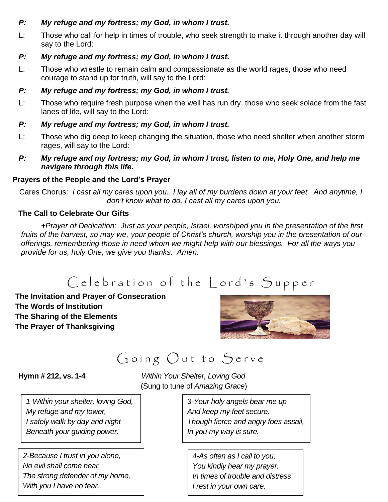### *P: My refuge and my fortress; my God, in whom I trust.*

L: Those who call for help in times of trouble, who seek strength to make it through another day will say to the Lord:

### *P: My refuge and my fortress; my God, in whom I trust.*

L: Those who wrestle to remain calm and compassionate as the world rages, those who need courage to stand up for truth, will say to the Lord:

### *P: My refuge and my fortress; my God, in whom I trust.*

L: Those who require fresh purpose when the well has run dry, those who seek solace from the fast lanes of life, will say to the Lord:

### *P: My refuge and my fortress; my God, in whom I trust.*

- L: Those who dig deep to keep changing the situation, those who need shelter when another storm rages, will say to the Lord:
- *P: My refuge and my fortress; my God, in whom I trust, listen to me, Holy One, and help me navigate through this life.*

### **Prayers of the People and the Lord's Prayer**

Cares Chorus: *I cast all my cares upon you. I lay all of my burdens down at your feet. And anytime, I don't know what to do, I cast all my cares upon you.*

### **The Call to Celebrate Our Gifts**

*+Prayer of Dedication: Just as your people, Israel, worshiped you in the presentation of the first fruits of the harvest, so may we, your people of Christ's church, worship you in the presentation of our offerings, remembering those in need whom we might help with our blessings. For all the ways you provide for us, holy One, we give you thanks. Amen.* 

Celebration of the Lord's Supper

**The Invitation and Prayer of Consecration The Words of Institution The Sharing of the Elements The Prayer of Thanksgiving**



## Going Out to Serve

**Hymn # 212, vs. 1-4** *Within Your Shelter, Loving God* (Sung to tune of *Amazing Grace*)

*1-Within your shelter, loving God, My refuge and my tower, I safely walk by day and night Beneath your guiding power.*

*2-Because I trust in you alone, No evil shall come near. The strong defender of my home, With you I have no fear.*

*3-Your holy angels bear me up And keep my feet secure. Though fierce and angry foes assail,*

*In you my way is sure.*

*4-As often as I call to you, You kindly hear my prayer. In times of trouble and distress I rest in your own care.*